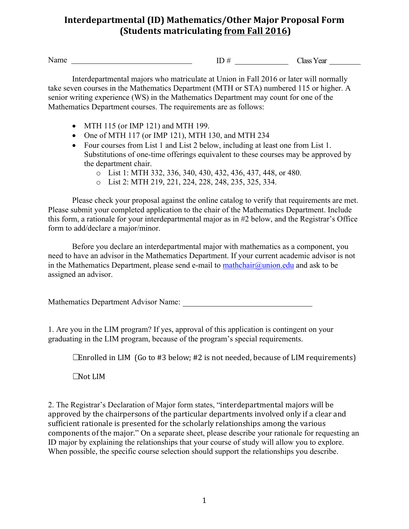## **Interdepartmental (ID) Mathematics/Other Major Proposal Form (Students matriculating from Fall 2016)**

Name ID # Class Year

Interdepartmental majors who matriculate at Union in Fall 2016 or later will normally take seven courses in the Mathematics Department (MTH or STA) numbered 115 or higher. A senior writing experience (WS) in the Mathematics Department may count for one of the Mathematics Department courses. The requirements are as follows:

- MTH 115 (or IMP 121) and MTH 199.
- One of MTH 117 (or IMP 121), MTH 130, and MTH 234
- Four courses from List 1 and List 2 below, including at least one from List 1. Substitutions of one-time offerings equivalent to these courses may be approved by the department chair.
	- o List 1: MTH 332, 336, 340, 430, 432, 436, 437, 448, or 480.
	- o List 2: MTH 219, 221, 224, 228, 248, 235, 325, 334.

Please check your proposal against the online catalog to verify that requirements are met. Please submit your completed application to the chair of the Mathematics Department. Include this form, a rationale for your interdepartmental major as in #2 below, and the Registrar's Office form to add/declare a major/minor.

Before you declare an interdepartmental major with mathematics as a component, you need to have an advisor in the Mathematics Department. If your current academic advisor is not in the Mathematics Department, please send e-mail to  $\text{mathchain}(\partial \text{union.edu})$  and ask to be assigned an advisor.

Mathematics Department Advisor Name:

1. Are you in the LIM program? If yes, approval of this application is contingent on your graduating in the LIM program, because of the program's special requirements.

 $\Box$ Enrolled in LIM (Go to #3 below; #2 is not needed, because of LIM requirements)

☐Not LIM

2. The Registrar's Declaration of Major form states, "interdepartmental majors will be approved by the chairpersons of the particular departments involved only if a clear and sufficient rationale is presented for the scholarly relationships among the various components of the major." On a separate sheet, please describe your rationale for requesting an ID major by explaining the relationships that your course of study will allow you to explore. When possible, the specific course selection should support the relationships you describe.